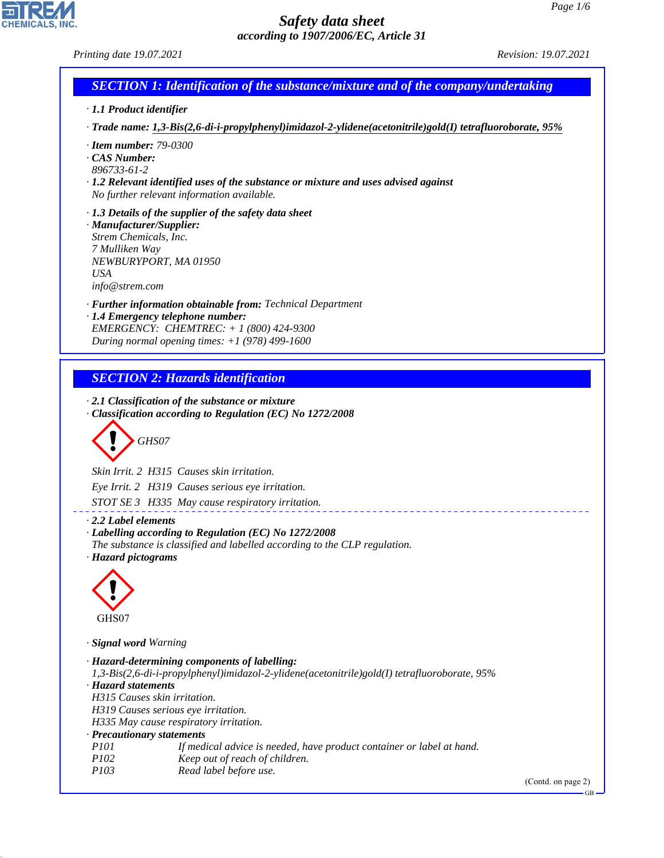*Printing date 19.07.2021 Revision: 19.07.2021*

# *SECTION 1: Identification of the substance/mixture and of the company/undertaking*

- *· 1.1 Product identifier*
- *· Trade name: 1,3-Bis(2,6-di-i-propylphenyl)imidazol-2-ylidene(acetonitrile)gold(I) tetrafluoroborate, 95%*
- *· Item number: 79-0300*
- *· CAS Number:*
- *896733-61-2*
- *· 1.2 Relevant identified uses of the substance or mixture and uses advised against No further relevant information available.*
- *· 1.3 Details of the supplier of the safety data sheet · Manufacturer/Supplier:*
- *Strem Chemicals, Inc. 7 Mulliken Way NEWBURYPORT, MA 01950 USA info@strem.com*
- *· Further information obtainable from: Technical Department*
- *· 1.4 Emergency telephone number: EMERGENCY: CHEMTREC: + 1 (800) 424-9300 During normal opening times: +1 (978) 499-1600*

# *SECTION 2: Hazards identification*

- *· 2.1 Classification of the substance or mixture*
- *· Classification according to Regulation (EC) No 1272/2008*

d~*GHS07*

*Skin Irrit. 2 H315 Causes skin irritation. Eye Irrit. 2 H319 Causes serious eye irritation.*

*STOT SE 3 H335 May cause respiratory irritation.*

*· 2.2 Label elements*

#### *· Labelling according to Regulation (EC) No 1272/2008*

*The substance is classified and labelled according to the CLP regulation. · Hazard pictograms*



44.1.1

*· Signal word Warning*

| · Hazard-determining components of labelling:                                                |
|----------------------------------------------------------------------------------------------|
| 1,3-Bis(2,6-di-i-propylphenyl)imidazol-2-ylidene(acetonitrile)gold(I) tetrafluoroborate, 95% |
| · Hazard statements                                                                          |
| H315 Causes skin irritation.                                                                 |
| H319 Causes serious eye irritation.                                                          |
| H335 May cause respiratory irritation.                                                       |
| · Precautionary statements                                                                   |
| <i>P101</i><br>If medical advice is needed, have product container or label at hand.         |
| <i>P102</i><br>Keep out of reach of children.                                                |
| Read label before use.<br><i>P103</i>                                                        |
|                                                                                              |

<u>. . . . . . . . . . . . .</u>

(Contd. on page 2)

GB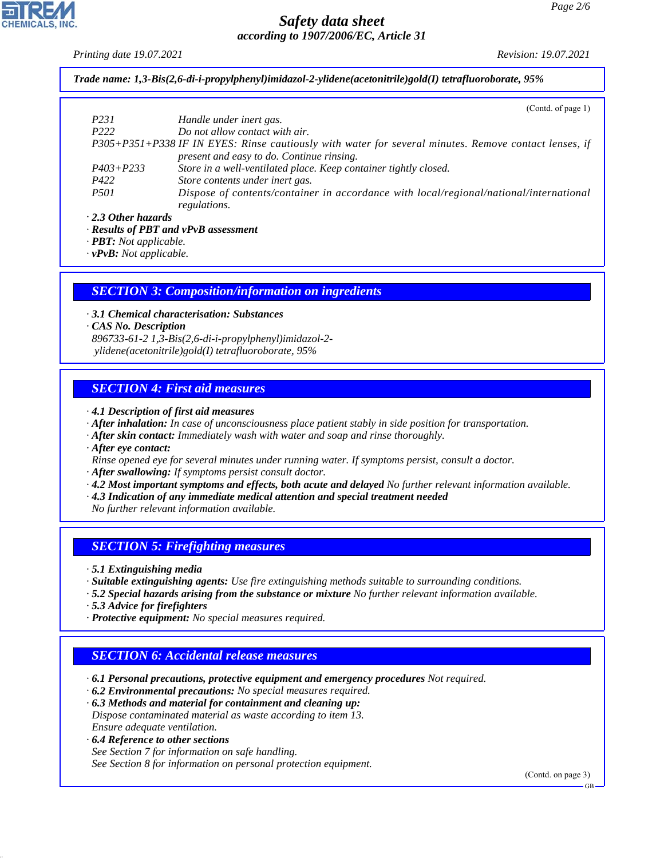*Printing date 19.07.2021 Revision: 19.07.2021*

*Trade name: 1,3-Bis(2,6-di-i-propylphenyl)imidazol-2-ylidene(acetonitrile)gold(I) tetrafluoroborate, 95%*

|                           | (Contd. of page 1)                                                                                    |
|---------------------------|-------------------------------------------------------------------------------------------------------|
| P <sub>231</sub>          | Handle under inert gas.                                                                               |
| P <sub>222</sub>          | Do not allow contact with air.                                                                        |
|                           | P305+P351+P338 IF IN EYES: Rinse cautiously with water for several minutes. Remove contact lenses, if |
|                           | present and easy to do. Continue rinsing.                                                             |
| $P403 + P233$             | Store in a well-ventilated place. Keep container tightly closed.                                      |
| P422                      | Store contents under inert gas.                                                                       |
| <i>P501</i>               | Dispose of contents/container in accordance with local/regional/national/international                |
|                           | regulations.                                                                                          |
| $\cdot$ 2.3 Other hazards |                                                                                                       |

*· Results of PBT and vPvB assessment*

*· PBT: Not applicable.*

*· vPvB: Not applicable.*

#### *SECTION 3: Composition/information on ingredients*

*· 3.1 Chemical characterisation: Substances*

*· CAS No. Description*

*896733-61-2 1,3-Bis(2,6-di-i-propylphenyl)imidazol-2 ylidene(acetonitrile)gold(I) tetrafluoroborate, 95%*

### *SECTION 4: First aid measures*

*· 4.1 Description of first aid measures*

- *· After inhalation: In case of unconsciousness place patient stably in side position for transportation.*
- *· After skin contact: Immediately wash with water and soap and rinse thoroughly.*
- *· After eye contact:*
- *Rinse opened eye for several minutes under running water. If symptoms persist, consult a doctor.*
- *· After swallowing: If symptoms persist consult doctor.*
- *· 4.2 Most important symptoms and effects, both acute and delayed No further relevant information available.*
- *· 4.3 Indication of any immediate medical attention and special treatment needed*
- *No further relevant information available.*

#### *SECTION 5: Firefighting measures*

*· 5.1 Extinguishing media*

- *· Suitable extinguishing agents: Use fire extinguishing methods suitable to surrounding conditions.*
- *· 5.2 Special hazards arising from the substance or mixture No further relevant information available.*
- *· 5.3 Advice for firefighters*
- *· Protective equipment: No special measures required.*

### *SECTION 6: Accidental release measures*

*· 6.1 Personal precautions, protective equipment and emergency procedures Not required.*

*· 6.2 Environmental precautions: No special measures required.*

*· 6.3 Methods and material for containment and cleaning up: Dispose contaminated material as waste according to item 13. Ensure adequate ventilation.*

*· 6.4 Reference to other sections*

44.1.1

*See Section 7 for information on safe handling. See Section 8 for information on personal protection equipment.*

(Contd. on page 3)

GB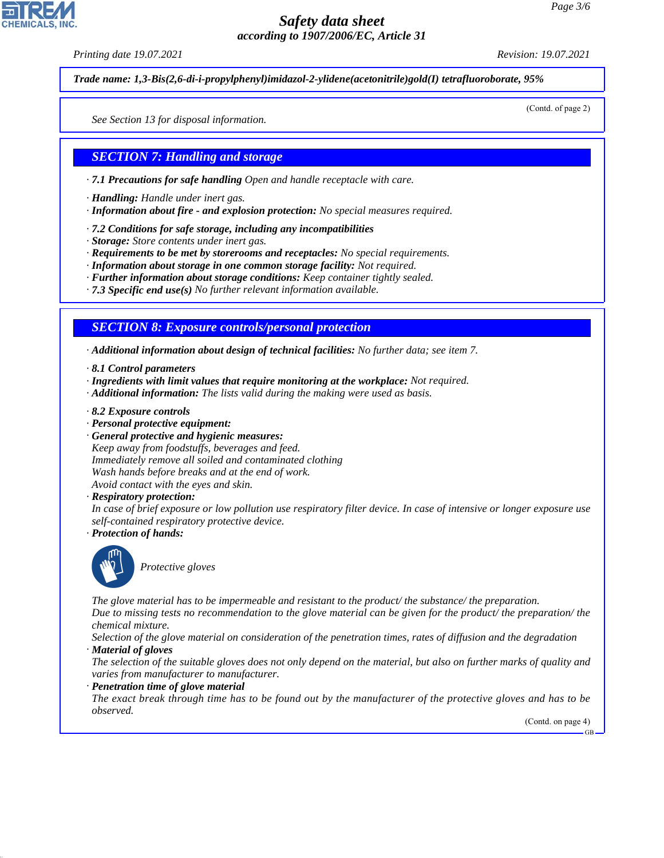*Printing date 19.07.2021 Revision: 19.07.2021*

*Trade name: 1,3-Bis(2,6-di-i-propylphenyl)imidazol-2-ylidene(acetonitrile)gold(I) tetrafluoroborate, 95%*

(Contd. of page 2)

*See Section 13 for disposal information.*

### *SECTION 7: Handling and storage*

- *· 7.1 Precautions for safe handling Open and handle receptacle with care.*
- *· Handling: Handle under inert gas.*
- *· Information about fire and explosion protection: No special measures required.*
- *· 7.2 Conditions for safe storage, including any incompatibilities*
- *· Storage: Store contents under inert gas.*
- *· Requirements to be met by storerooms and receptacles: No special requirements.*
- *· Information about storage in one common storage facility: Not required.*
- *· Further information about storage conditions: Keep container tightly sealed.*
- *· 7.3 Specific end use(s) No further relevant information available.*

*SECTION 8: Exposure controls/personal protection*

*· Additional information about design of technical facilities: No further data; see item 7.*

- *· 8.1 Control parameters*
- *· Ingredients with limit values that require monitoring at the workplace: Not required.*
- *· Additional information: The lists valid during the making were used as basis.*
- *· 8.2 Exposure controls*
- *· Personal protective equipment:*
- *· General protective and hygienic measures: Keep away from foodstuffs, beverages and feed. Immediately remove all soiled and contaminated clothing Wash hands before breaks and at the end of work. Avoid contact with the eyes and skin.*
- *· Respiratory protection:*

*In case of brief exposure or low pollution use respiratory filter device. In case of intensive or longer exposure use self-contained respiratory protective device.*

*· Protection of hands:*



44.1.1

\_S*Protective gloves*

*The glove material has to be impermeable and resistant to the product/ the substance/ the preparation.*

*Due to missing tests no recommendation to the glove material can be given for the product/ the preparation/ the chemical mixture.*

*Selection of the glove material on consideration of the penetration times, rates of diffusion and the degradation · Material of gloves*

*The selection of the suitable gloves does not only depend on the material, but also on further marks of quality and varies from manufacturer to manufacturer.*

*· Penetration time of glove material*

*The exact break through time has to be found out by the manufacturer of the protective gloves and has to be observed.*

(Contd. on page 4)

GB

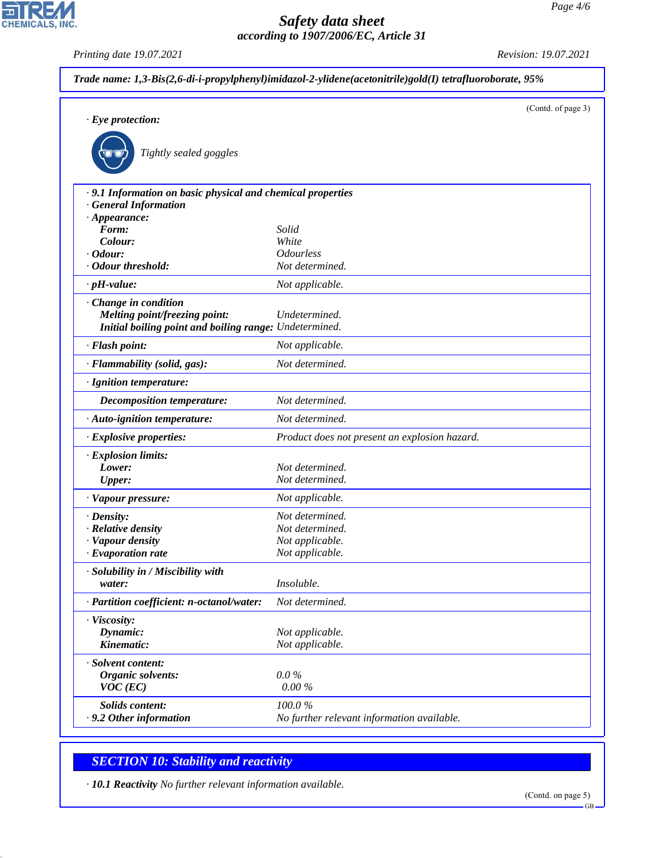*Printing date 19.07.2021 Revision: 19.07.2021*

CHEMICALS, INC.

| $\cdot$ Eye protection:                                                                  |                                               | (Contd. of page 3) |
|------------------------------------------------------------------------------------------|-----------------------------------------------|--------------------|
|                                                                                          |                                               |                    |
| Tightly sealed goggles                                                                   |                                               |                    |
| .9.1 Information on basic physical and chemical properties<br><b>General Information</b> |                                               |                    |
| $\cdot$ Appearance:                                                                      |                                               |                    |
| Form:                                                                                    | Solid                                         |                    |
| Colour:                                                                                  | White                                         |                    |
| $\cdot$ Odour:                                                                           | <i><b>Odourless</b></i>                       |                    |
| · Odour threshold:                                                                       | Not determined.                               |                    |
| $\cdot$ pH-value:                                                                        | Not applicable.                               |                    |
| · Change in condition                                                                    |                                               |                    |
| Melting point/freezing point:                                                            | Undetermined.                                 |                    |
| Initial boiling point and boiling range: Undetermined.                                   |                                               |                    |
| · Flash point:                                                                           | Not applicable.                               |                    |
| · Flammability (solid, gas):                                                             | Not determined.                               |                    |
| · Ignition temperature:                                                                  |                                               |                    |
| <b>Decomposition temperature:</b>                                                        | Not determined.                               |                    |
| · Auto-ignition temperature:                                                             | Not determined.                               |                    |
| · Explosive properties:                                                                  | Product does not present an explosion hazard. |                    |
| · Explosion limits:                                                                      |                                               |                    |
| Lower:                                                                                   | Not determined.                               |                    |
| <b>Upper:</b>                                                                            | Not determined.                               |                    |
| · Vapour pressure:                                                                       | Not applicable.                               |                    |
| $\cdot$ Density:                                                                         | Not determined.                               |                    |
| · Relative density                                                                       | Not determined.                               |                    |
| · Vapour density                                                                         | Not applicable.                               |                    |
| $\cdot$ Evaporation rate                                                                 | Not applicable.                               |                    |
| · Solubility in / Miscibility with                                                       |                                               |                    |
| water:                                                                                   | Insoluble.                                    |                    |
| · Partition coefficient: n-octanol/water:                                                | Not determined.                               |                    |
| · Viscosity:                                                                             |                                               |                    |
| Dynamic:                                                                                 | Not applicable.                               |                    |
| Kinematic:                                                                               | Not applicable.                               |                    |
| · Solvent content:                                                                       |                                               |                    |
| Organic solvents:                                                                        | $0.0\%$                                       |                    |
| $VOC$ (EC)                                                                               | $0.00\%$                                      |                    |
| Solids content:                                                                          | 100.0%                                        |                    |
| .9.2 Other information                                                                   | No further relevant information available.    |                    |

# *SECTION 10: Stability and reactivity*

44.1.1

*· 10.1 Reactivity No further relevant information available.*

GB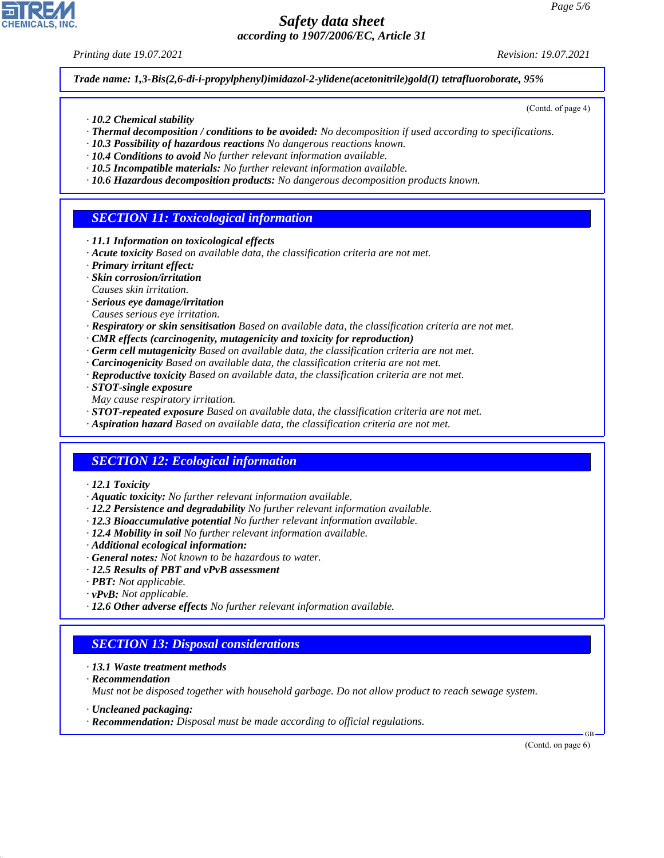*Printing date 19.07.2021 Revision: 19.07.2021*

(Contd. of page 4)

*Trade name: 1,3-Bis(2,6-di-i-propylphenyl)imidazol-2-ylidene(acetonitrile)gold(I) tetrafluoroborate, 95%*

- *· 10.2 Chemical stability*
- *· Thermal decomposition / conditions to be avoided: No decomposition if used according to specifications.*
- *· 10.3 Possibility of hazardous reactions No dangerous reactions known.*
- *· 10.4 Conditions to avoid No further relevant information available.*
- *· 10.5 Incompatible materials: No further relevant information available.*
- *· 10.6 Hazardous decomposition products: No dangerous decomposition products known.*

# *SECTION 11: Toxicological information*

- *· 11.1 Information on toxicological effects*
- *· Acute toxicity Based on available data, the classification criteria are not met.*
- *· Primary irritant effect:*
- *· Skin corrosion/irritation*
- *Causes skin irritation.*
- *· Serious eye damage/irritation*
- *Causes serious eye irritation.*
- *· Respiratory or skin sensitisation Based on available data, the classification criteria are not met.*
- *· CMR effects (carcinogenity, mutagenicity and toxicity for reproduction)*
- *· Germ cell mutagenicity Based on available data, the classification criteria are not met.*
- *· Carcinogenicity Based on available data, the classification criteria are not met.*
- *· Reproductive toxicity Based on available data, the classification criteria are not met.*
- *· STOT-single exposure*
- *May cause respiratory irritation.*
- *· STOT-repeated exposure Based on available data, the classification criteria are not met.*
- *· Aspiration hazard Based on available data, the classification criteria are not met.*

### *SECTION 12: Ecological information*

- *· 12.1 Toxicity*
- *· Aquatic toxicity: No further relevant information available.*
- *· 12.2 Persistence and degradability No further relevant information available.*
- *· 12.3 Bioaccumulative potential No further relevant information available.*
- *· 12.4 Mobility in soil No further relevant information available.*
- *· Additional ecological information:*
- *· General notes: Not known to be hazardous to water.*
- *· 12.5 Results of PBT and vPvB assessment*
- *· PBT: Not applicable.*
- *· vPvB: Not applicable.*
- *· 12.6 Other adverse effects No further relevant information available.*

### *SECTION 13: Disposal considerations*

- *· 13.1 Waste treatment methods*
- *· Recommendation*

44.1.1

*Must not be disposed together with household garbage. Do not allow product to reach sewage system.*

- *· Uncleaned packaging:*
- *· Recommendation: Disposal must be made according to official regulations.*

(Contd. on page 6)

GB